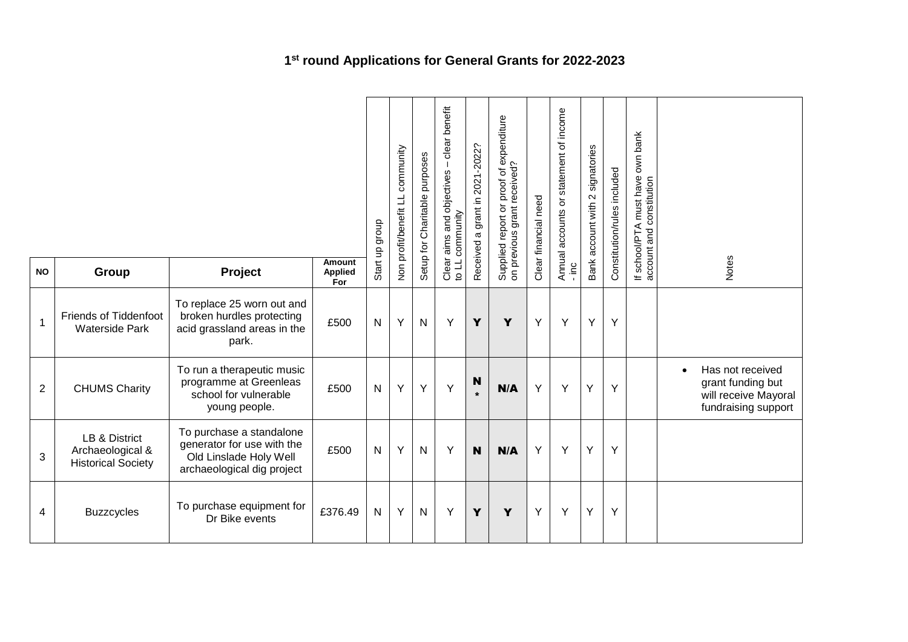|                |                                                                |                                                                                                                |                                 |                               | community<br>Non profit/benefit LL | Setup for Charitable purposes | clear benefit<br>aims and objectives -<br>Clear aims and of<br>to LL community | 2021-2022?<br>grant in 2 | Supplied report or proof of expenditure<br>on previous grant received? | Clear financial need | Annual accounts or statement of income | Bank account with 2 signatories | Constitution/rules included | bank<br>own<br>If school/PTA must have<br>account and constitution<br>school/PTA |                                                                                                   |
|----------------|----------------------------------------------------------------|----------------------------------------------------------------------------------------------------------------|---------------------------------|-------------------------------|------------------------------------|-------------------------------|--------------------------------------------------------------------------------|--------------------------|------------------------------------------------------------------------|----------------------|----------------------------------------|---------------------------------|-----------------------------|----------------------------------------------------------------------------------|---------------------------------------------------------------------------------------------------|
| <b>NO</b>      | Group                                                          | Project                                                                                                        | Amount<br><b>Applied</b><br>For | $\frac{\alpha}{2}$<br>Start i |                                    |                               |                                                                                | Received a               |                                                                        |                      | $\frac{1}{2}$                          |                                 |                             |                                                                                  | Notes                                                                                             |
| $\mathbf{1}$   | <b>Friends of Tiddenfoot</b><br><b>Waterside Park</b>          | To replace 25 worn out and<br>broken hurdles protecting<br>acid grassland areas in the<br>park.                | £500                            | N                             | Y                                  | $\mathsf{N}$                  | Y                                                                              | Y                        | Y                                                                      | Y                    | Y                                      | Y                               | Y                           |                                                                                  |                                                                                                   |
| $\overline{2}$ | <b>CHUMS Charity</b>                                           | To run a therapeutic music<br>programme at Greenleas<br>school for vulnerable<br>young people.                 | £500                            | N                             | Y                                  | Y                             | Y                                                                              | N<br>$\star$             | N/A                                                                    | Y                    | Y                                      | Y                               | Y                           |                                                                                  | Has not received<br>$\bullet$<br>grant funding but<br>will receive Mayoral<br>fundraising support |
| 3              | LB & District<br>Archaeological &<br><b>Historical Society</b> | To purchase a standalone<br>generator for use with the<br>Old Linslade Holy Well<br>archaeological dig project | £500                            | $\mathsf{N}$                  | Y                                  | $\mathsf{N}$                  | Y                                                                              | N                        | N/A                                                                    | Y                    | Υ                                      | Y                               | Y                           |                                                                                  |                                                                                                   |
| 4              | <b>Buzzcycles</b>                                              | To purchase equipment for<br>Dr Bike events                                                                    | £376.49                         | $\mathsf{N}$                  | Y                                  | ${\sf N}$                     | Y                                                                              | Y                        | Y                                                                      | Y                    | Y                                      | Υ                               | Y                           |                                                                                  |                                                                                                   |

## **1 st round Applications for General Grants for 2022-2023**